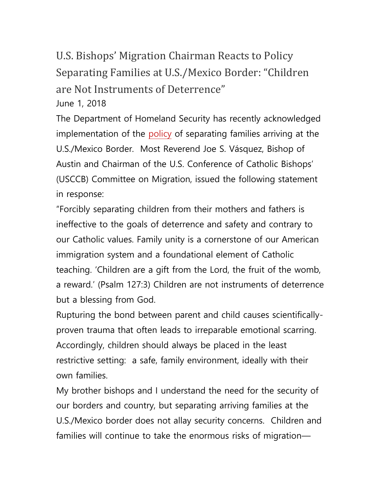## U.S. Bishops' Migration Chairman Reacts to Policy Separating Families at U.S./Mexico Border: "Children are Not Instruments of Deterrence" June 1, 2018

The Department of Homeland Security has recently acknowledged implementation of the [policy](https://www.judiciary.senate.gov/meetings/tvpra-and-exploited-loopholes-affecting-unaccompanied-alien-children) of separating families arriving at the U.S./Mexico Border. Most Reverend Joe S. Vásquez, Bishop of Austin and Chairman of the U.S. Conference of Catholic Bishops' (USCCB) Committee on Migration, issued the following statement in response:

"Forcibly separating children from their mothers and fathers is ineffective to the goals of deterrence and safety and contrary to our Catholic values. Family unity is a cornerstone of our American immigration system and a foundational element of Catholic teaching. 'Children are a gift from the Lord, the fruit of the womb, a reward.' (Psalm 127:3) Children are not instruments of deterrence but a blessing from God.

Rupturing the bond between parent and child causes scientificallyproven trauma that often leads to irreparable emotional scarring. Accordingly, children should always be placed in the least restrictive setting: a safe, family environment, ideally with their own families.

My brother bishops and I understand the need for the security of our borders and country, but separating arriving families at the U.S./Mexico border does not allay security concerns. Children and families will continue to take the enormous risks of migration